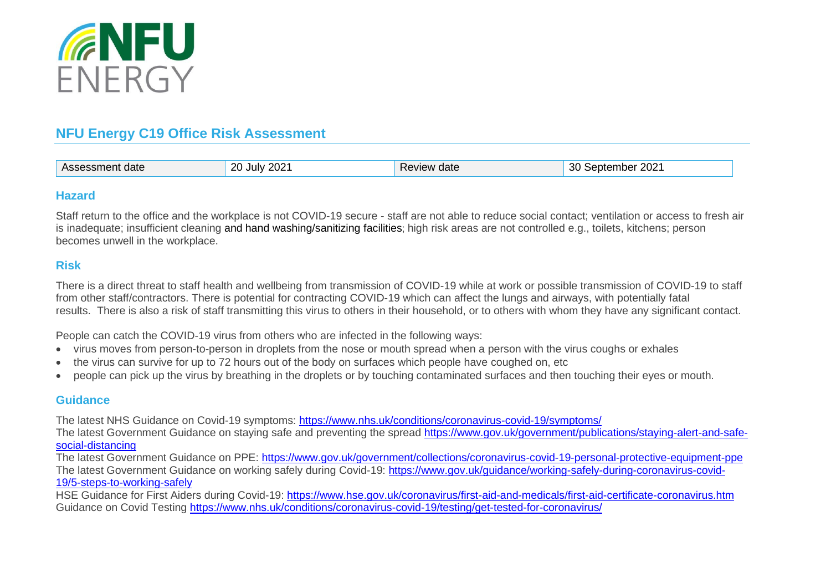

## **NFU Energy C19 Office Risk Assessment**

| $n_{\rm cl}$<br>date | ົດດາ<br>$\sim$<br>. ILIIV<br>202<br>$\overline{\phantom{a}}$<br>. . | aviey.<br>date | $\sim$<br>nper<br>$\mathbf{z}$<br>ZUZ<br>.<br>.<br>$\cdots$ |
|----------------------|---------------------------------------------------------------------|----------------|-------------------------------------------------------------|
|----------------------|---------------------------------------------------------------------|----------------|-------------------------------------------------------------|

## **Hazard**

Staff return to the office and the workplace is not COVID-19 secure - staff are not able to reduce social contact; ventilation or access to fresh air is inadequate; insufficient cleaning and hand washing/sanitizing facilities; high risk areas are not controlled e.g., toilets, kitchens; person becomes unwell in the workplace.

## **Risk**

There is a direct threat to staff health and wellbeing from transmission of COVID-19 while at work or possible transmission of COVID-19 to staff from other staff/contractors. There is potential for contracting COVID-19 which can affect the lungs and airways, with potentially fatal results. There is also a risk of staff transmitting this virus to others in their household, or to others with whom they have any significant contact.

People can catch the COVID-19 virus from others who are infected in the following ways:

- virus moves from person-to-person in droplets from the nose or mouth spread when a person with the virus coughs or exhales
- the virus can survive for up to 72 hours out of the body on surfaces which people have coughed on, etc
- people can pick up the virus by breathing in the droplets or by touching contaminated surfaces and then touching their eyes or mouth.

## **Guidance**

The latest NHS Guidance on Covid-19 symptoms: <https://www.nhs.uk/conditions/coronavirus-covid-19/symptoms/>

The latest Government Guidance on staying safe and preventing the spread [https://www.gov.uk/government/publications/staying-alert-and-safe](https://www.gov.uk/government/publications/staying-alert-and-safe-social-distancing)[social-distancing](https://www.gov.uk/government/publications/staying-alert-and-safe-social-distancing)

The latest Government Guidance on PPE: <https://www.gov.uk/government/collections/coronavirus-covid-19-personal-protective-equipment-ppe> The latest Government Guidance on working safely during Covid-19: [https://www.gov.uk/guidance/working-safely-during-coronavirus-covid-](https://www.gov.uk/guidance/working-safely-during-coronavirus-covid-19/5-steps-to-working-safely)[19/5-steps-to-working-safely](https://www.gov.uk/guidance/working-safely-during-coronavirus-covid-19/5-steps-to-working-safely)

HSE Guidance for First Aiders during Covid-19:<https://www.hse.gov.uk/coronavirus/first-aid-and-medicals/first-aid-certificate-coronavirus.htm> Guidance on Covid Testing<https://www.nhs.uk/conditions/coronavirus-covid-19/testing/get-tested-for-coronavirus/>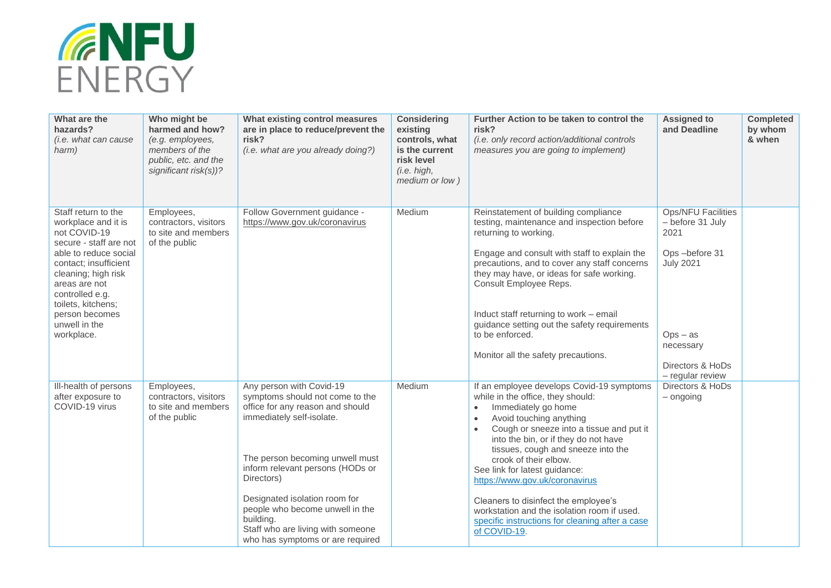

| What are the<br>hazards?<br>(i.e. what can cause<br>harm)                                                                                                                                                                                                                | Who might be<br>harmed and how?<br>(e.g. employees,<br>members of the<br>public, etc. and the<br>significant risk(s))? | What existing control measures<br>are in place to reduce/prevent the<br>risk?<br>(i.e. what are you already doing?)                                                                                                                                                                                                                                                         | <b>Considering</b><br>existing<br>controls, what<br>is the current<br>risk level<br>(i.e. high,<br>medium or low) | Further Action to be taken to control the<br>risk?<br>(i.e. only record action/additional controls<br>measures you are going to implement)                                                                                                                                                                                                                                                                                                                                                                                                              | <b>Assigned to</b><br>and Deadline                                                                                                                              | <b>Completed</b><br>by whom<br>& when |
|--------------------------------------------------------------------------------------------------------------------------------------------------------------------------------------------------------------------------------------------------------------------------|------------------------------------------------------------------------------------------------------------------------|-----------------------------------------------------------------------------------------------------------------------------------------------------------------------------------------------------------------------------------------------------------------------------------------------------------------------------------------------------------------------------|-------------------------------------------------------------------------------------------------------------------|---------------------------------------------------------------------------------------------------------------------------------------------------------------------------------------------------------------------------------------------------------------------------------------------------------------------------------------------------------------------------------------------------------------------------------------------------------------------------------------------------------------------------------------------------------|-----------------------------------------------------------------------------------------------------------------------------------------------------------------|---------------------------------------|
| Staff return to the<br>workplace and it is<br>not COVID-19<br>secure - staff are not<br>able to reduce social<br>contact; insufficient<br>cleaning; high risk<br>areas are not<br>controlled e.g.<br>toilets, kitchens;<br>person becomes<br>unwell in the<br>workplace. | Employees,<br>contractors, visitors<br>to site and members<br>of the public                                            | Follow Government guidance -<br>https://www.gov.uk/coronavirus                                                                                                                                                                                                                                                                                                              | Medium                                                                                                            | Reinstatement of building compliance<br>testing, maintenance and inspection before<br>returning to working.<br>Engage and consult with staff to explain the<br>precautions, and to cover any staff concerns<br>they may have, or ideas for safe working.<br>Consult Employee Reps.<br>Induct staff returning to work - email<br>guidance setting out the safety requirements<br>to be enforced.<br>Monitor all the safety precautions.                                                                                                                  | <b>Ops/NFU Facilities</b><br>- before 31 July<br>2021<br>Ops-before 31<br><b>July 2021</b><br>$Ops - as$<br>necessary<br>Directors & HoDs<br>$-$ regular review |                                       |
| Ill-health of persons<br>after exposure to<br>COVID-19 virus                                                                                                                                                                                                             | Employees,<br>contractors, visitors<br>to site and members<br>of the public                                            | Any person with Covid-19<br>symptoms should not come to the<br>office for any reason and should<br>immediately self-isolate.<br>The person becoming unwell must<br>inform relevant persons (HODs or<br>Directors)<br>Designated isolation room for<br>people who become unwell in the<br>building.<br>Staff who are living with someone<br>who has symptoms or are required | Medium                                                                                                            | If an employee develops Covid-19 symptoms<br>while in the office, they should:<br>Immediately go home<br>$\bullet$<br>Avoid touching anything<br>$\bullet$<br>Cough or sneeze into a tissue and put it<br>$\bullet$<br>into the bin, or if they do not have<br>tissues, cough and sneeze into the<br>crook of their elbow.<br>See link for latest guidance:<br>https://www.gov.uk/coronavirus<br>Cleaners to disinfect the employee's<br>workstation and the isolation room if used.<br>specific instructions for cleaning after a case<br>of COVID-19. | Directors & HoDs<br>$-$ ongoing                                                                                                                                 |                                       |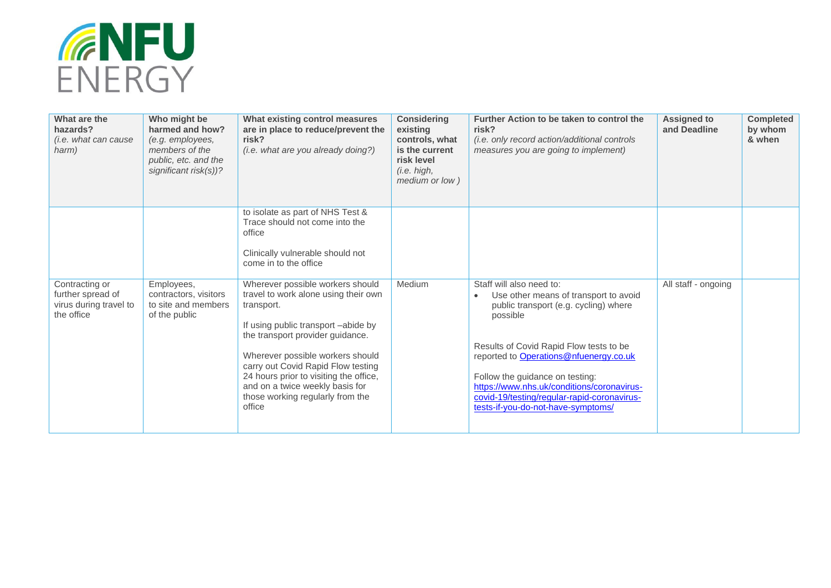

| What are the<br>hazards?<br>(i.e. what can cause<br>harm)                   | Who might be<br>harmed and how?<br>(e.g. employees,<br>members of the<br>public, etc. and the<br>significant risk(s))? | What existing control measures<br>are in place to reduce/prevent the<br>risk?<br>(i.e. what are you already doing?)                                                                                                                                                                                                                                                    | <b>Considering</b><br>existing<br>controls, what<br>is the current<br>risk level<br>(i.e. high,<br>medium or low) | Further Action to be taken to control the<br>risk?<br>(i.e. only record action/additional controls<br>measures you are going to implement)                                                                                                                                                                                                                                        | <b>Assigned to</b><br>and Deadline | <b>Completed</b><br>by whom<br>& when |
|-----------------------------------------------------------------------------|------------------------------------------------------------------------------------------------------------------------|------------------------------------------------------------------------------------------------------------------------------------------------------------------------------------------------------------------------------------------------------------------------------------------------------------------------------------------------------------------------|-------------------------------------------------------------------------------------------------------------------|-----------------------------------------------------------------------------------------------------------------------------------------------------------------------------------------------------------------------------------------------------------------------------------------------------------------------------------------------------------------------------------|------------------------------------|---------------------------------------|
|                                                                             |                                                                                                                        | to isolate as part of NHS Test &<br>Trace should not come into the<br>office<br>Clinically vulnerable should not<br>come in to the office                                                                                                                                                                                                                              |                                                                                                                   |                                                                                                                                                                                                                                                                                                                                                                                   |                                    |                                       |
| Contracting or<br>further spread of<br>virus during travel to<br>the office | Employees,<br>contractors, visitors<br>to site and members<br>of the public                                            | Wherever possible workers should<br>travel to work alone using their own<br>transport.<br>If using public transport -abide by<br>the transport provider quidance.<br>Wherever possible workers should<br>carry out Covid Rapid Flow testing<br>24 hours prior to visiting the office,<br>and on a twice weekly basis for<br>those working regularly from the<br>office | Medium                                                                                                            | Staff will also need to:<br>Use other means of transport to avoid<br>public transport (e.g. cycling) where<br>possible<br>Results of Covid Rapid Flow tests to be<br>reported to Operations@nfuenergy.co.uk<br>Follow the guidance on testing:<br>https://www.nhs.uk/conditions/coronavirus-<br>covid-19/testing/regular-rapid-coronavirus-<br>tests-if-you-do-not-have-symptoms/ | All staff - ongoing                |                                       |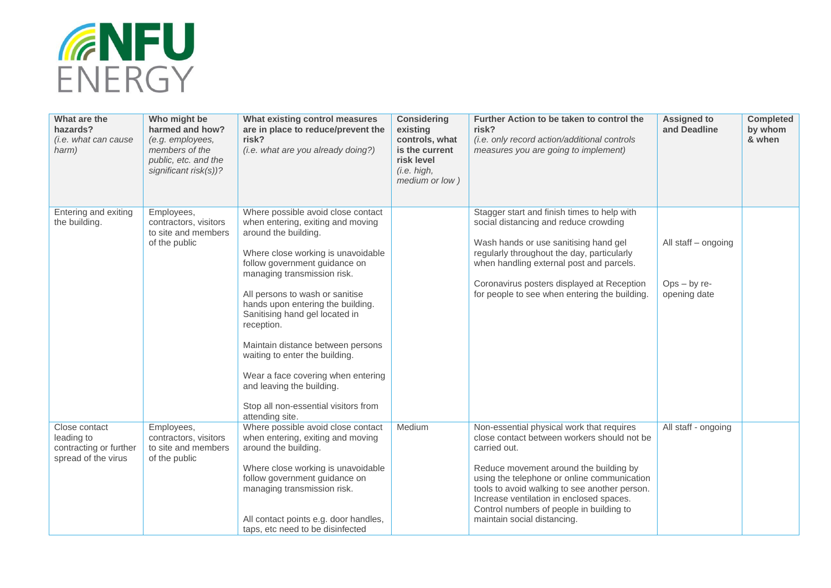

| What are the<br>hazards?<br>(i.e. what can cause<br>harm)                    | Who might be<br>harmed and how?<br>(e.g. employees,<br>members of the<br>public, etc. and the<br>significant risk(s))? | What existing control measures<br>are in place to reduce/prevent the<br>risk?<br>(i.e. what are you already doing?)                                                                                                                                                                                                                                                                                                                                                                                                                | <b>Considering</b><br>existing<br>controls, what<br>is the current<br>risk level<br>(i.e. high,<br>medium or low) | Further Action to be taken to control the<br>risk?<br>(i.e. only record action/additional controls<br>measures you are going to implement)                                                                                                                                                                                                                                | <b>Assigned to</b><br>and Deadline                    | <b>Completed</b><br>by whom<br>& when |
|------------------------------------------------------------------------------|------------------------------------------------------------------------------------------------------------------------|------------------------------------------------------------------------------------------------------------------------------------------------------------------------------------------------------------------------------------------------------------------------------------------------------------------------------------------------------------------------------------------------------------------------------------------------------------------------------------------------------------------------------------|-------------------------------------------------------------------------------------------------------------------|---------------------------------------------------------------------------------------------------------------------------------------------------------------------------------------------------------------------------------------------------------------------------------------------------------------------------------------------------------------------------|-------------------------------------------------------|---------------------------------------|
| Entering and exiting<br>the building.                                        | Employees,<br>contractors, visitors<br>to site and members<br>of the public                                            | Where possible avoid close contact<br>when entering, exiting and moving<br>around the building.<br>Where close working is unavoidable<br>follow government guidance on<br>managing transmission risk.<br>All persons to wash or sanitise<br>hands upon entering the building.<br>Sanitising hand gel located in<br>reception.<br>Maintain distance between persons<br>waiting to enter the building.<br>Wear a face covering when entering<br>and leaving the building.<br>Stop all non-essential visitors from<br>attending site. |                                                                                                                   | Stagger start and finish times to help with<br>social distancing and reduce crowding<br>Wash hands or use sanitising hand gel<br>regularly throughout the day, particularly<br>when handling external post and parcels.<br>Coronavirus posters displayed at Reception<br>for people to see when entering the building.                                                    | All staff - ongoing<br>$Ops - by re-$<br>opening date |                                       |
| Close contact<br>leading to<br>contracting or further<br>spread of the virus | Employees,<br>contractors, visitors<br>to site and members<br>of the public                                            | Where possible avoid close contact<br>when entering, exiting and moving<br>around the building.<br>Where close working is unavoidable<br>follow government guidance on<br>managing transmission risk.<br>All contact points e.g. door handles,<br>taps, etc need to be disinfected                                                                                                                                                                                                                                                 | Medium                                                                                                            | Non-essential physical work that requires<br>close contact between workers should not be<br>carried out.<br>Reduce movement around the building by<br>using the telephone or online communication<br>tools to avoid walking to see another person.<br>Increase ventilation in enclosed spaces.<br>Control numbers of people in building to<br>maintain social distancing. | All staff - ongoing                                   |                                       |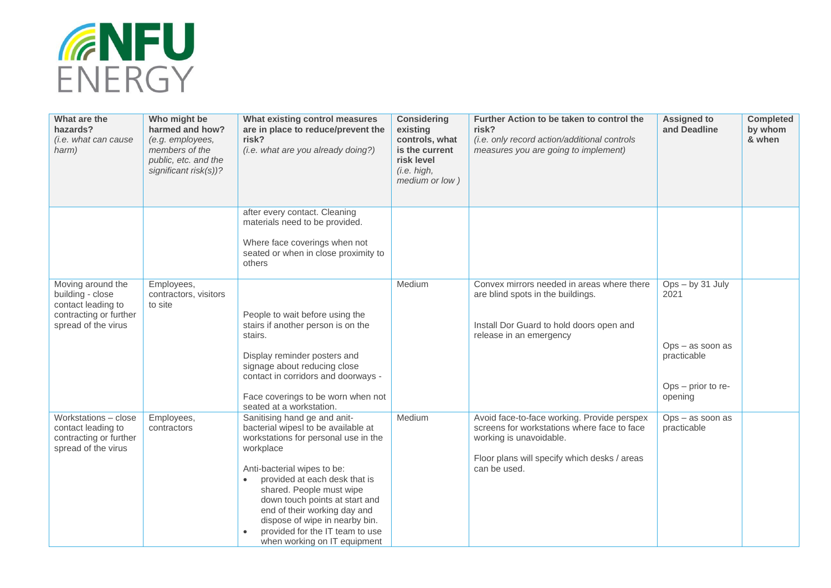

| What are the<br>hazards?<br>(i.e. what can cause<br>harm)                                                    | Who might be<br>harmed and how?<br>(e.g. employees,<br>members of the<br>public, etc. and the<br>significant risk(s))? | What existing control measures<br>are in place to reduce/prevent the<br>risk?<br>(i.e. what are you already doing?)                                                                                                                                                                                                                                                                                      | <b>Considering</b><br>existing<br>controls, what<br>is the current<br>risk level<br>(i.e. high,<br>medium or low) | Further Action to be taken to control the<br>risk?<br>(i.e. only record action/additional controls<br>measures you are going to implement)                                            | <b>Assigned to</b><br>and Deadline                                                               | <b>Completed</b><br>by whom<br>& when |
|--------------------------------------------------------------------------------------------------------------|------------------------------------------------------------------------------------------------------------------------|----------------------------------------------------------------------------------------------------------------------------------------------------------------------------------------------------------------------------------------------------------------------------------------------------------------------------------------------------------------------------------------------------------|-------------------------------------------------------------------------------------------------------------------|---------------------------------------------------------------------------------------------------------------------------------------------------------------------------------------|--------------------------------------------------------------------------------------------------|---------------------------------------|
|                                                                                                              |                                                                                                                        | after every contact. Cleaning<br>materials need to be provided.<br>Where face coverings when not<br>seated or when in close proximity to<br>others                                                                                                                                                                                                                                                       |                                                                                                                   |                                                                                                                                                                                       |                                                                                                  |                                       |
| Moving around the<br>building - close<br>contact leading to<br>contracting or further<br>spread of the virus | Employees,<br>contractors, visitors<br>to site                                                                         | People to wait before using the<br>stairs if another person is on the<br>stairs.<br>Display reminder posters and<br>signage about reducing close<br>contact in corridors and doorways -<br>Face coverings to be worn when not<br>seated at a workstation.                                                                                                                                                | Medium                                                                                                            | Convex mirrors needed in areas where there<br>are blind spots in the buildings.<br>Install Dor Guard to hold doors open and<br>release in an emergency                                | $Ops - by 31 July$<br>2021<br>$Ops - as soon as$<br>practicable<br>Ops - prior to re-<br>opening |                                       |
| Workstations - close<br>contact leading to<br>contracting or further<br>spread of the virus                  | Employees,<br>contractors                                                                                              | Sanitising hand ge and anit-<br>bacterial wipesl to be available at<br>workstations for personal use in the<br>workplace<br>Anti-bacterial wipes to be:<br>provided at each desk that is<br>$\bullet$<br>shared. People must wipe<br>down touch points at start and<br>end of their working day and<br>dispose of wipe in nearby bin.<br>provided for the IT team to use<br>when working on IT equipment | Medium                                                                                                            | Avoid face-to-face working. Provide perspex<br>screens for workstations where face to face<br>working is unavoidable.<br>Floor plans will specify which desks / areas<br>can be used. | Ops - as soon as<br>practicable                                                                  |                                       |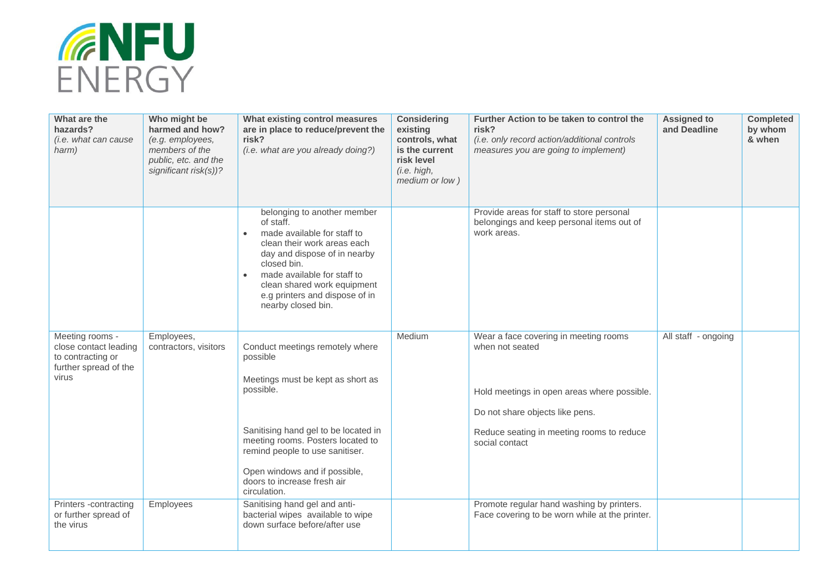

| What are the<br>hazards?<br><i>(i.e. what can cause</i><br>harm)                                | Who might be<br>harmed and how?<br>(e.g. employees,<br>members of the<br>public, etc. and the<br>significant risk(s))? | What existing control measures<br>are in place to reduce/prevent the<br>risk?<br>(i.e. what are you already doing?)                                                                                                                                                                           | <b>Considering</b><br>existing<br>controls, what<br>is the current<br>risk level<br>(i.e. high,<br>medium or low) | Further Action to be taken to control the<br>risk?<br>(i.e. only record action/additional controls<br>measures you are going to implement)                                                                | <b>Assigned to</b><br>and Deadline | <b>Completed</b><br>by whom<br>& when |
|-------------------------------------------------------------------------------------------------|------------------------------------------------------------------------------------------------------------------------|-----------------------------------------------------------------------------------------------------------------------------------------------------------------------------------------------------------------------------------------------------------------------------------------------|-------------------------------------------------------------------------------------------------------------------|-----------------------------------------------------------------------------------------------------------------------------------------------------------------------------------------------------------|------------------------------------|---------------------------------------|
|                                                                                                 |                                                                                                                        | belonging to another member<br>of staff.<br>made available for staff to<br>$\bullet$<br>clean their work areas each<br>day and dispose of in nearby<br>closed bin.<br>made available for staff to<br>clean shared work equipment<br>e.g printers and dispose of in<br>nearby closed bin.      |                                                                                                                   | Provide areas for staff to store personal<br>belongings and keep personal items out of<br>work areas.                                                                                                     |                                    |                                       |
| Meeting rooms -<br>close contact leading<br>to contracting or<br>further spread of the<br>virus | Employees,<br>contractors, visitors                                                                                    | Conduct meetings remotely where<br>possible<br>Meetings must be kept as short as<br>possible.<br>Sanitising hand gel to be located in<br>meeting rooms. Posters located to<br>remind people to use sanitiser.<br>Open windows and if possible,<br>doors to increase fresh air<br>circulation. | Medium                                                                                                            | Wear a face covering in meeting rooms<br>when not seated<br>Hold meetings in open areas where possible.<br>Do not share objects like pens.<br>Reduce seating in meeting rooms to reduce<br>social contact | All staff - ongoing                |                                       |
| Printers -contracting<br>or further spread of<br>the virus                                      | Employees                                                                                                              | Sanitising hand gel and anti-<br>bacterial wipes available to wipe<br>down surface before/after use                                                                                                                                                                                           |                                                                                                                   | Promote regular hand washing by printers.<br>Face covering to be worn while at the printer.                                                                                                               |                                    |                                       |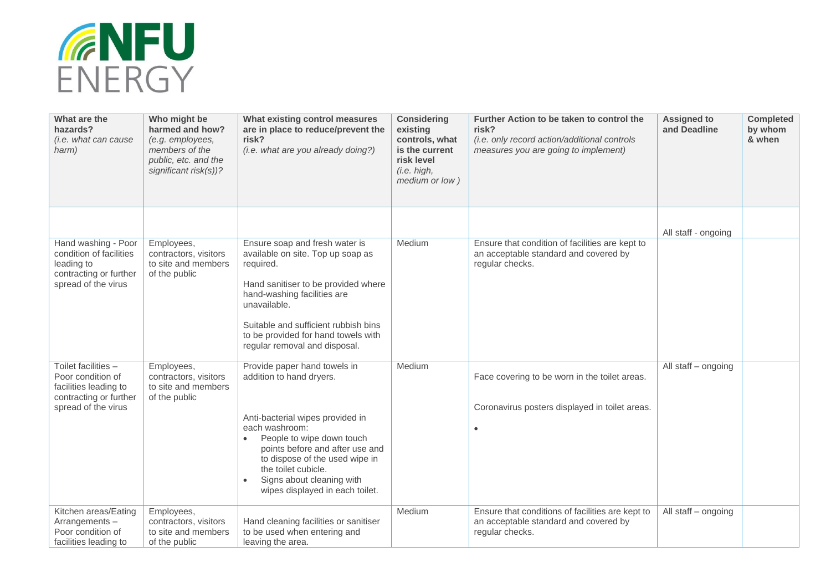

| What are the<br>hazards?<br>(i.e. what can cause<br>harm)                                                          | Who might be<br>harmed and how?<br>(e.g. employees,<br>members of the<br>public, etc. and the<br>significant risk(s))? | What existing control measures<br>are in place to reduce/prevent the<br>risk?<br>(i.e. what are you already doing?)                                                                                                                                                                                                  | <b>Considering</b><br>existing<br>controls, what<br>is the current<br>risk level<br>(i.e. high,<br>medium or low) | Further Action to be taken to control the<br>risk?<br>(i.e. only record action/additional controls<br>measures you are going to implement) | <b>Assigned to</b><br>and Deadline | <b>Completed</b><br>by whom<br>& when |
|--------------------------------------------------------------------------------------------------------------------|------------------------------------------------------------------------------------------------------------------------|----------------------------------------------------------------------------------------------------------------------------------------------------------------------------------------------------------------------------------------------------------------------------------------------------------------------|-------------------------------------------------------------------------------------------------------------------|--------------------------------------------------------------------------------------------------------------------------------------------|------------------------------------|---------------------------------------|
|                                                                                                                    |                                                                                                                        |                                                                                                                                                                                                                                                                                                                      |                                                                                                                   |                                                                                                                                            | All staff - ongoing                |                                       |
| Hand washing - Poor<br>condition of facilities<br>leading to<br>contracting or further<br>spread of the virus      | Employees,<br>contractors, visitors<br>to site and members<br>of the public                                            | Ensure soap and fresh water is<br>available on site. Top up soap as<br>required.<br>Hand sanitiser to be provided where<br>hand-washing facilities are<br>unavailable.<br>Suitable and sufficient rubbish bins<br>to be provided for hand towels with<br>regular removal and disposal.                               | Medium                                                                                                            | Ensure that condition of facilities are kept to<br>an acceptable standard and covered by<br>regular checks.                                |                                    |                                       |
| Toilet facilities -<br>Poor condition of<br>facilities leading to<br>contracting or further<br>spread of the virus | Employees,<br>contractors, visitors<br>to site and members<br>of the public                                            | Provide paper hand towels in<br>addition to hand dryers.<br>Anti-bacterial wipes provided in<br>each washroom:<br>People to wipe down touch<br>points before and after use and<br>to dispose of the used wipe in<br>the toilet cubicle.<br>Signs about cleaning with<br>$\bullet$<br>wipes displayed in each toilet. | Medium                                                                                                            | Face covering to be worn in the toilet areas.<br>Coronavirus posters displayed in toilet areas.<br>$\bullet$                               | All staff - ongoing                |                                       |
| Kitchen areas/Eating<br>Arrangements-<br>Poor condition of<br>facilities leading to                                | Employees,<br>contractors, visitors<br>to site and members<br>of the public                                            | Hand cleaning facilities or sanitiser<br>to be used when entering and<br>leaving the area.                                                                                                                                                                                                                           | Medium                                                                                                            | Ensure that conditions of facilities are kept to<br>an acceptable standard and covered by<br>regular checks.                               | All staff - ongoing                |                                       |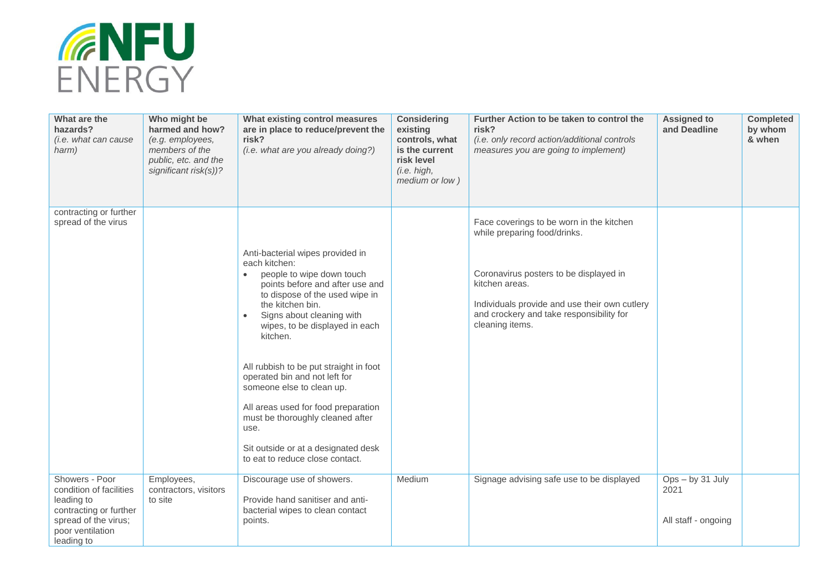

| What are the<br>hazards?<br>(i.e. what can cause<br>harm)                                                                                   | Who might be<br>harmed and how?<br>(e.g. employees,<br>members of the<br>public, etc. and the<br>significant risk(s))? | What existing control measures<br>are in place to reduce/prevent the<br>risk?<br>(i.e. what are you already doing?)                                                                                                                                                                                                                                                                                                                                                                                                                  | <b>Considering</b><br>existing<br>controls, what<br>is the current<br>risk level<br>(i.e. high,<br>medium or low) | Further Action to be taken to control the<br>risk?<br>(i.e. only record action/additional controls<br>measures you are going to implement)                                                                                                           | <b>Assigned to</b><br>and Deadline            | <b>Completed</b><br>by whom<br>& when |
|---------------------------------------------------------------------------------------------------------------------------------------------|------------------------------------------------------------------------------------------------------------------------|--------------------------------------------------------------------------------------------------------------------------------------------------------------------------------------------------------------------------------------------------------------------------------------------------------------------------------------------------------------------------------------------------------------------------------------------------------------------------------------------------------------------------------------|-------------------------------------------------------------------------------------------------------------------|------------------------------------------------------------------------------------------------------------------------------------------------------------------------------------------------------------------------------------------------------|-----------------------------------------------|---------------------------------------|
| contracting or further<br>spread of the virus                                                                                               |                                                                                                                        | Anti-bacterial wipes provided in<br>each kitchen:<br>people to wipe down touch<br>$\bullet$<br>points before and after use and<br>to dispose of the used wipe in<br>the kitchen bin.<br>Signs about cleaning with<br>wipes, to be displayed in each<br>kitchen.<br>All rubbish to be put straight in foot<br>operated bin and not left for<br>someone else to clean up.<br>All areas used for food preparation<br>must be thoroughly cleaned after<br>use.<br>Sit outside or at a designated desk<br>to eat to reduce close contact. |                                                                                                                   | Face coverings to be worn in the kitchen<br>while preparing food/drinks.<br>Coronavirus posters to be displayed in<br>kitchen areas.<br>Individuals provide and use their own cutlery<br>and crockery and take responsibility for<br>cleaning items. |                                               |                                       |
| Showers - Poor<br>condition of facilities<br>leading to<br>contracting or further<br>spread of the virus;<br>poor ventilation<br>leading to | Employees,<br>contractors, visitors<br>to site                                                                         | Discourage use of showers.<br>Provide hand sanitiser and anti-<br>bacterial wipes to clean contact<br>points.                                                                                                                                                                                                                                                                                                                                                                                                                        | Medium                                                                                                            | Signage advising safe use to be displayed                                                                                                                                                                                                            | Ops-by 31 July<br>2021<br>All staff - ongoing |                                       |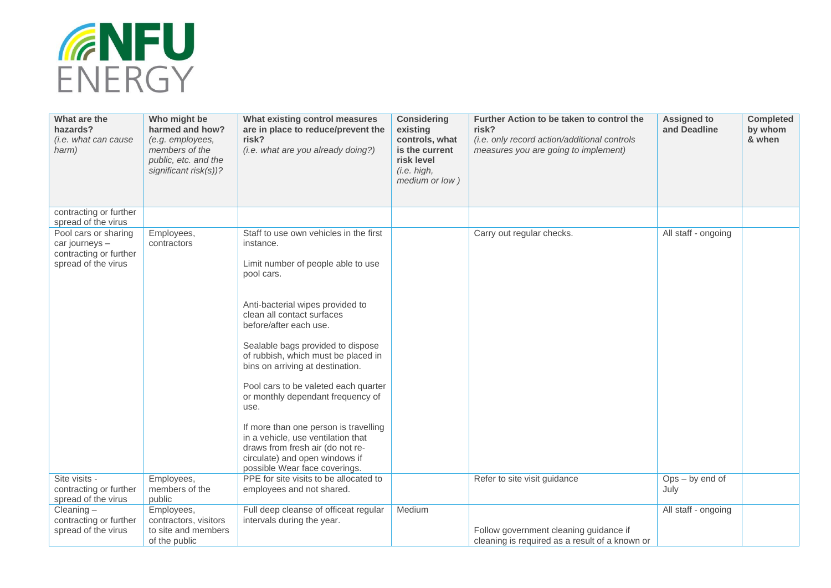

| What are the<br>hazards?<br>(i.e. what can cause<br>harm)                               | Who might be<br>harmed and how?<br>(e.g. employees,<br>members of the<br>public, etc. and the<br>significant risk(s))? | What existing control measures<br>are in place to reduce/prevent the<br>risk?<br>(i.e. what are you already doing?)                                                                                                                                                                                                                                                                                                                                                                                                                                                                            | <b>Considering</b><br>existing<br>controls, what<br>is the current<br>risk level<br>(i.e. high,<br>medium or low) | Further Action to be taken to control the<br>risk?<br>(i.e. only record action/additional controls<br>measures you are going to implement) | <b>Assigned to</b><br>and Deadline | <b>Completed</b><br>by whom<br>& when |
|-----------------------------------------------------------------------------------------|------------------------------------------------------------------------------------------------------------------------|------------------------------------------------------------------------------------------------------------------------------------------------------------------------------------------------------------------------------------------------------------------------------------------------------------------------------------------------------------------------------------------------------------------------------------------------------------------------------------------------------------------------------------------------------------------------------------------------|-------------------------------------------------------------------------------------------------------------------|--------------------------------------------------------------------------------------------------------------------------------------------|------------------------------------|---------------------------------------|
| contracting or further<br>spread of the virus                                           |                                                                                                                        |                                                                                                                                                                                                                                                                                                                                                                                                                                                                                                                                                                                                |                                                                                                                   |                                                                                                                                            |                                    |                                       |
| Pool cars or sharing<br>car journeys -<br>contracting or further<br>spread of the virus | Employees,<br>contractors                                                                                              | Staff to use own vehicles in the first<br>instance.<br>Limit number of people able to use<br>pool cars.<br>Anti-bacterial wipes provided to<br>clean all contact surfaces<br>before/after each use.<br>Sealable bags provided to dispose<br>of rubbish, which must be placed in<br>bins on arriving at destination.<br>Pool cars to be valeted each quarter<br>or monthly dependant frequency of<br>use.<br>If more than one person is travelling<br>in a vehicle, use ventilation that<br>draws from fresh air (do not re-<br>circulate) and open windows if<br>possible Wear face coverings. |                                                                                                                   | Carry out regular checks.                                                                                                                  | All staff - ongoing                |                                       |
| Site visits -<br>contracting or further                                                 | Employees,<br>members of the                                                                                           | PPE for site visits to be allocated to<br>employees and not shared.                                                                                                                                                                                                                                                                                                                                                                                                                                                                                                                            |                                                                                                                   | Refer to site visit guidance                                                                                                               | $Ops - by end of$<br>July          |                                       |
| spread of the virus                                                                     | public                                                                                                                 |                                                                                                                                                                                                                                                                                                                                                                                                                                                                                                                                                                                                |                                                                                                                   |                                                                                                                                            |                                    |                                       |
| Cleaning $-$<br>contracting or further<br>spread of the virus                           | Employees,<br>contractors, visitors<br>to site and members<br>of the public                                            | Full deep cleanse of officeat regular<br>intervals during the year.                                                                                                                                                                                                                                                                                                                                                                                                                                                                                                                            | Medium                                                                                                            | Follow government cleaning guidance if<br>cleaning is required as a result of a known or                                                   | All staff - ongoing                |                                       |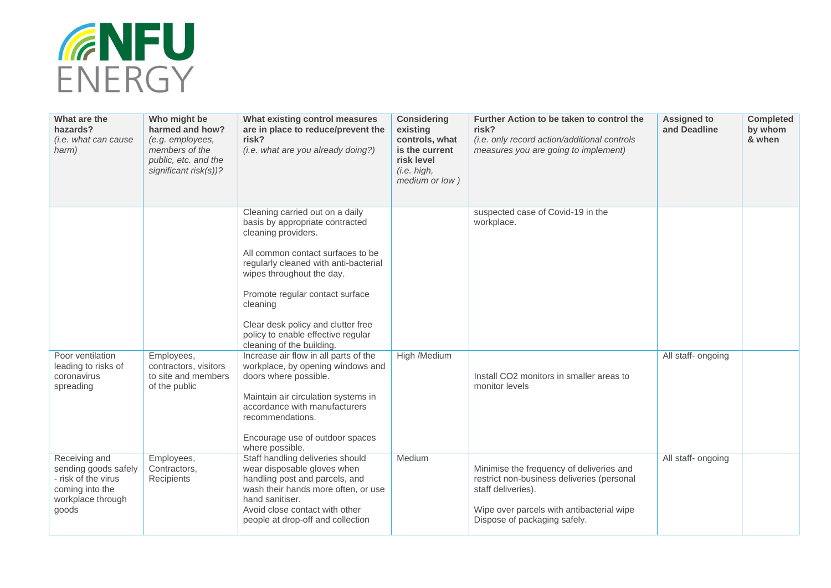

| What are the<br>hazards?<br>(i.e. what can cause<br>harm)                                                     | Who might be<br>harmed and how?<br>(e.g. employees,<br>members of the<br>public, etc. and the<br>significant risk(s))? | What existing control measures<br>are in place to reduce/prevent the<br>risk?<br>(i.e. what are you already doing?)                                                                                                                                                                                                                                          | <b>Considering</b><br>existing<br>controls, what<br>is the current<br>risk level<br>(i.e. high,<br>medium or low) | Further Action to be taken to control the<br>risk?<br>(i.e. only record action/additional controls<br>measures you are going to implement)                                                | <b>Assigned to</b><br>and Deadline | <b>Completed</b><br>by whom<br>& when |
|---------------------------------------------------------------------------------------------------------------|------------------------------------------------------------------------------------------------------------------------|--------------------------------------------------------------------------------------------------------------------------------------------------------------------------------------------------------------------------------------------------------------------------------------------------------------------------------------------------------------|-------------------------------------------------------------------------------------------------------------------|-------------------------------------------------------------------------------------------------------------------------------------------------------------------------------------------|------------------------------------|---------------------------------------|
|                                                                                                               |                                                                                                                        | Cleaning carried out on a daily<br>basis by appropriate contracted<br>cleaning providers.<br>All common contact surfaces to be<br>regularly cleaned with anti-bacterial<br>wipes throughout the day.<br>Promote regular contact surface<br>cleaning<br>Clear desk policy and clutter free<br>policy to enable effective regular<br>cleaning of the building. |                                                                                                                   | suspected case of Covid-19 in the<br>workplace.                                                                                                                                           |                                    |                                       |
| Poor ventilation<br>leading to risks of<br>coronavirus<br>spreading                                           | Employees,<br>contractors, visitors<br>to site and members<br>of the public                                            | Increase air flow in all parts of the<br>workplace, by opening windows and<br>doors where possible.<br>Maintain air circulation systems in<br>accordance with manufacturers<br>recommendations.<br>Encourage use of outdoor spaces<br>where possible.                                                                                                        | High /Medium                                                                                                      | Install CO2 monitors in smaller areas to<br>monitor levels                                                                                                                                | All staff- ongoing                 |                                       |
| Receiving and<br>sending goods safely<br>- risk of the virus<br>coming into the<br>workplace through<br>goods | Employees,<br>Contractors,<br>Recipients                                                                               | Staff handling deliveries should<br>wear disposable gloves when<br>handling post and parcels, and<br>wash their hands more often, or use<br>hand sanitiser.<br>Avoid close contact with other<br>people at drop-off and collection                                                                                                                           | Medium                                                                                                            | Minimise the frequency of deliveries and<br>restrict non-business deliveries (personal<br>staff deliveries).<br>Wipe over parcels with antibacterial wipe<br>Dispose of packaging safely. | All staff- ongoing                 |                                       |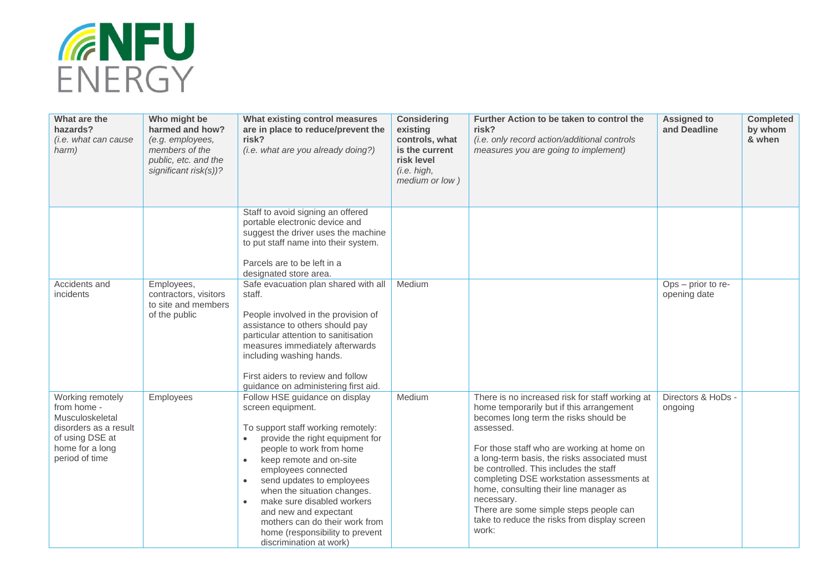

| What are the<br>hazards?<br>(i.e. what can cause<br>harm)                                                                           | Who might be<br>harmed and how?<br>(e.g. employees,<br>members of the<br>public, etc. and the<br>significant risk(s))? | What existing control measures<br>are in place to reduce/prevent the<br>risk?<br>(i.e. what are you already doing?)                                                                                                                                                                                                                                                                                                                                                  | <b>Considering</b><br>existing<br>controls, what<br>is the current<br>risk level<br>(i.e. high,<br>medium or low) | Further Action to be taken to control the<br>risk?<br>(i.e. only record action/additional controls<br>measures you are going to implement)                                                                                                                                                                                                                                                                                                                                                        | <b>Assigned to</b><br>and Deadline | <b>Completed</b><br>by whom<br>& when |
|-------------------------------------------------------------------------------------------------------------------------------------|------------------------------------------------------------------------------------------------------------------------|----------------------------------------------------------------------------------------------------------------------------------------------------------------------------------------------------------------------------------------------------------------------------------------------------------------------------------------------------------------------------------------------------------------------------------------------------------------------|-------------------------------------------------------------------------------------------------------------------|---------------------------------------------------------------------------------------------------------------------------------------------------------------------------------------------------------------------------------------------------------------------------------------------------------------------------------------------------------------------------------------------------------------------------------------------------------------------------------------------------|------------------------------------|---------------------------------------|
|                                                                                                                                     |                                                                                                                        | Staff to avoid signing an offered<br>portable electronic device and<br>suggest the driver uses the machine<br>to put staff name into their system.<br>Parcels are to be left in a<br>designated store area.                                                                                                                                                                                                                                                          |                                                                                                                   |                                                                                                                                                                                                                                                                                                                                                                                                                                                                                                   |                                    |                                       |
| Accidents and<br>incidents                                                                                                          | Employees,<br>contractors, visitors<br>to site and members<br>of the public                                            | Safe evacuation plan shared with all<br>staff.<br>People involved in the provision of<br>assistance to others should pay<br>particular attention to sanitisation<br>measures immediately afterwards<br>including washing hands.<br>First aiders to review and follow<br>guidance on administering first aid.                                                                                                                                                         | Medium                                                                                                            |                                                                                                                                                                                                                                                                                                                                                                                                                                                                                                   | Ops - prior to re-<br>opening date |                                       |
| Working remotely<br>from home -<br>Musculoskeletal<br>disorders as a result<br>of using DSE at<br>home for a long<br>period of time | Employees                                                                                                              | Follow HSE guidance on display<br>screen equipment.<br>To support staff working remotely:<br>provide the right equipment for<br>$\bullet$<br>people to work from home<br>keep remote and on-site<br>$\bullet$<br>employees connected<br>send updates to employees<br>$\bullet$<br>when the situation changes.<br>make sure disabled workers<br>and new and expectant<br>mothers can do their work from<br>home (responsibility to prevent<br>discrimination at work) | Medium                                                                                                            | There is no increased risk for staff working at<br>home temporarily but if this arrangement<br>becomes long term the risks should be<br>assessed.<br>For those staff who are working at home on<br>a long-term basis, the risks associated must<br>be controlled. This includes the staff<br>completing DSE workstation assessments at<br>home, consulting their line manager as<br>necessary.<br>There are some simple steps people can<br>take to reduce the risks from display screen<br>work: | Directors & HoDs -<br>ongoing      |                                       |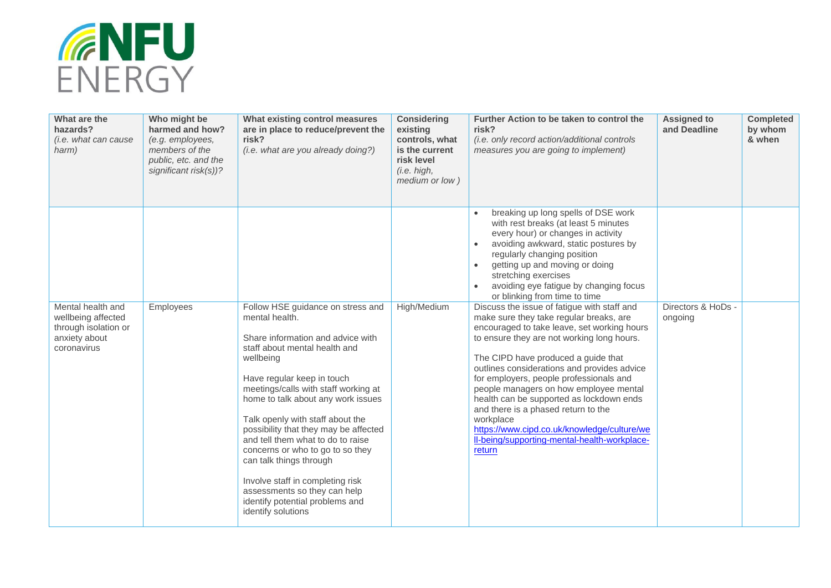

| What are the<br>hazards?<br>(i.e. what can cause<br>harm)                                       | Who might be<br>harmed and how?<br>(e.g. employees,<br>members of the<br>public, etc. and the<br>significant risk(s))? | What existing control measures<br>are in place to reduce/prevent the<br>risk?<br>(i.e. what are you already doing?)                                                                                                                                                                                                                                                                                                                                                                                                                                              | <b>Considering</b><br>existing<br>controls, what<br>is the current<br>risk level<br>(i.e. high,<br>medium or low) | Further Action to be taken to control the<br>risk?<br>(i.e. only record action/additional controls<br>measures you are going to implement)                                                                                                                                                                                                                                                                                                                                                                                                                              | <b>Assigned to</b><br>and Deadline | <b>Completed</b><br>by whom<br>& when |
|-------------------------------------------------------------------------------------------------|------------------------------------------------------------------------------------------------------------------------|------------------------------------------------------------------------------------------------------------------------------------------------------------------------------------------------------------------------------------------------------------------------------------------------------------------------------------------------------------------------------------------------------------------------------------------------------------------------------------------------------------------------------------------------------------------|-------------------------------------------------------------------------------------------------------------------|-------------------------------------------------------------------------------------------------------------------------------------------------------------------------------------------------------------------------------------------------------------------------------------------------------------------------------------------------------------------------------------------------------------------------------------------------------------------------------------------------------------------------------------------------------------------------|------------------------------------|---------------------------------------|
|                                                                                                 |                                                                                                                        |                                                                                                                                                                                                                                                                                                                                                                                                                                                                                                                                                                  |                                                                                                                   | breaking up long spells of DSE work<br>with rest breaks (at least 5 minutes<br>every hour) or changes in activity<br>avoiding awkward, static postures by<br>regularly changing position<br>getting up and moving or doing<br>$\bullet$<br>stretching exercises<br>avoiding eye fatigue by changing focus<br>or blinking from time to time                                                                                                                                                                                                                              |                                    |                                       |
| Mental health and<br>wellbeing affected<br>through isolation or<br>anxiety about<br>coronavirus | Employees                                                                                                              | Follow HSE guidance on stress and<br>mental health.<br>Share information and advice with<br>staff about mental health and<br>wellbeing<br>Have regular keep in touch<br>meetings/calls with staff working at<br>home to talk about any work issues<br>Talk openly with staff about the<br>possibility that they may be affected<br>and tell them what to do to raise<br>concerns or who to go to so they<br>can talk things through<br>Involve staff in completing risk<br>assessments so they can help<br>identify potential problems and<br>identify solutions | High/Medium                                                                                                       | Discuss the issue of fatigue with staff and<br>make sure they take regular breaks, are<br>encouraged to take leave, set working hours<br>to ensure they are not working long hours.<br>The CIPD have produced a guide that<br>outlines considerations and provides advice<br>for employers, people professionals and<br>people managers on how employee mental<br>health can be supported as lockdown ends<br>and there is a phased return to the<br>workplace<br>https://www.cipd.co.uk/knowledge/culture/we<br>Il-being/supporting-mental-health-workplace-<br>return | Directors & HoDs -<br>ongoing      |                                       |